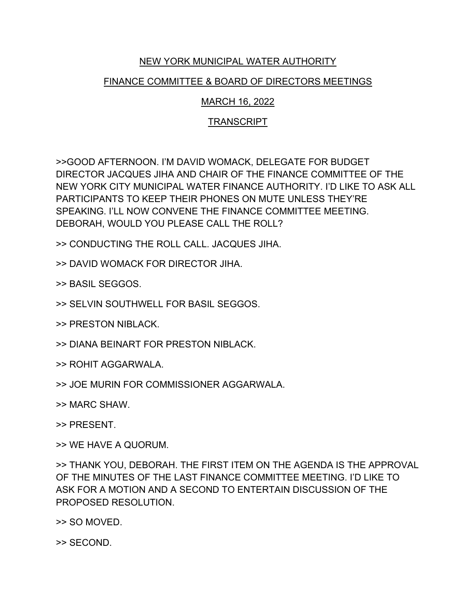## NEW YORK MUNICIPAL WATER AUTHORITY

## FINANCE COMMITTEE & BOARD OF DIRECTORS MEETINGS

## MARCH 16, 2022

## TRANSCRIPT

>>GOOD AFTERNOON. I'M DAVID WOMACK, DELEGATE FOR BUDGET DIRECTOR JACQUES JIHA AND CHAIR OF THE FINANCE COMMITTEE OF THE NEW YORK CITY MUNICIPAL WATER FINANCE AUTHORITY. I'D LIKE TO ASK ALL PARTICIPANTS TO KEEP THEIR PHONES ON MUTE UNLESS THEY'RE SPEAKING. I'LL NOW CONVENE THE FINANCE COMMITTEE MEETING. DEBORAH, WOULD YOU PLEASE CALL THE ROLL?

>> CONDUCTING THE ROLL CALL. JACQUES JIHA.

>> DAVID WOMACK FOR DIRECTOR JIHA.

>> BASIL SEGGOS.

>> SELVIN SOUTHWELL FOR BASIL SEGGOS.

>> PRESTON NIBLACK.

>> DIANA BEINART FOR PRESTON NIBLACK.

>> ROHIT AGGARWALA.

>> JOE MURIN FOR COMMISSIONER AGGARWALA.

>> MARC SHAW.

>> PRESENT.

>> WE HAVE A QUORUM.

>> THANK YOU, DEBORAH. THE FIRST ITEM ON THE AGENDA IS THE APPROVAL OF THE MINUTES OF THE LAST FINANCE COMMITTEE MEETING. I'D LIKE TO ASK FOR A MOTION AND A SECOND TO ENTERTAIN DISCUSSION OF THE PROPOSED RESOLUTION.

>> SO MOVED.

>> SECOND.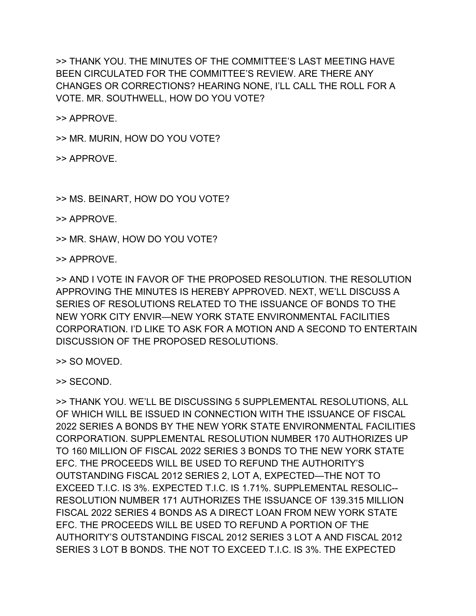>> THANK YOU. THE MINUTES OF THE COMMITTEE'S LAST MEETING HAVE BEEN CIRCULATED FOR THE COMMITTEE'S REVIEW. ARE THERE ANY CHANGES OR CORRECTIONS? HEARING NONE, I'LL CALL THE ROLL FOR A VOTE. MR. SOUTHWELL, HOW DO YOU VOTE?

>> APPROVE.

>> MR. MURIN, HOW DO YOU VOTE?

>> APPROVE.

>> MS. BEINART, HOW DO YOU VOTE?

>> APPROVE.

>> MR. SHAW, HOW DO YOU VOTE?

>> APPROVE.

>> AND I VOTE IN FAVOR OF THE PROPOSED RESOLUTION. THE RESOLUTION APPROVING THE MINUTES IS HEREBY APPROVED. NEXT, WE'LL DISCUSS A SERIES OF RESOLUTIONS RELATED TO THE ISSUANCE OF BONDS TO THE NEW YORK CITY ENVIR—NEW YORK STATE ENVIRONMENTAL FACILITIES CORPORATION. I'D LIKE TO ASK FOR A MOTION AND A SECOND TO ENTERTAIN DISCUSSION OF THE PROPOSED RESOLUTIONS.

>> SO MOVED.

>> SECOND.

>> THANK YOU. WE'LL BE DISCUSSING 5 SUPPLEMENTAL RESOLUTIONS, ALL OF WHICH WILL BE ISSUED IN CONNECTION WITH THE ISSUANCE OF FISCAL 2022 SERIES A BONDS BY THE NEW YORK STATE ENVIRONMENTAL FACILITIES CORPORATION. SUPPLEMENTAL RESOLUTION NUMBER 170 AUTHORIZES UP TO 160 MILLION OF FISCAL 2022 SERIES 3 BONDS TO THE NEW YORK STATE EFC. THE PROCEEDS WILL BE USED TO REFUND THE AUTHORITY'S OUTSTANDING FISCAL 2012 SERIES 2, LOT A, EXPECTED—THE NOT TO EXCEED T.I.C. IS 3%. EXPECTED T.I.C. IS 1.71%. SUPPLEMENTAL RESOLIC-- RESOLUTION NUMBER 171 AUTHORIZES THE ISSUANCE OF 139.315 MILLION FISCAL 2022 SERIES 4 BONDS AS A DIRECT LOAN FROM NEW YORK STATE EFC. THE PROCEEDS WILL BE USED TO REFUND A PORTION OF THE AUTHORITY'S OUTSTANDING FISCAL 2012 SERIES 3 LOT A AND FISCAL 2012 SERIES 3 LOT B BONDS. THE NOT TO EXCEED T.I.C. IS 3%. THE EXPECTED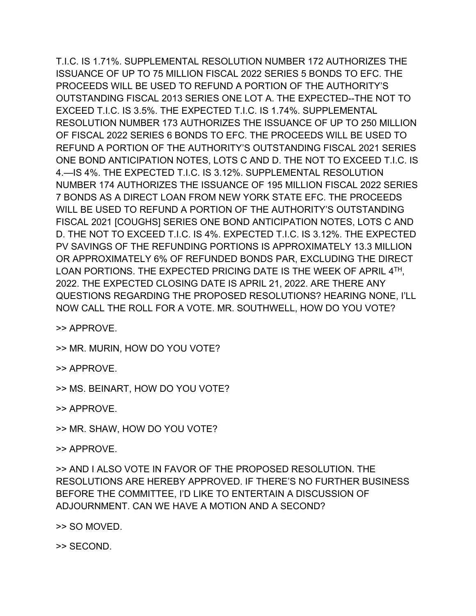T.I.C. IS 1.71%. SUPPLEMENTAL RESOLUTION NUMBER 172 AUTHORIZES THE ISSUANCE OF UP TO 75 MILLION FISCAL 2022 SERIES 5 BONDS TO EFC. THE PROCEEDS WILL BE USED TO REFUND A PORTION OF THE AUTHORITY'S OUTSTANDING FISCAL 2013 SERIES ONE LOT A. THE EXPECTED--THE NOT TO EXCEED T.I.C. IS 3.5%. THE EXPECTED T.I.C. IS 1.74%. SUPPLEMENTAL RESOLUTION NUMBER 173 AUTHORIZES THE ISSUANCE OF UP TO 250 MILLION OF FISCAL 2022 SERIES 6 BONDS TO EFC. THE PROCEEDS WILL BE USED TO REFUND A PORTION OF THE AUTHORITY'S OUTSTANDING FISCAL 2021 SERIES ONE BOND ANTICIPATION NOTES, LOTS C AND D. THE NOT TO EXCEED T.I.C. IS 4.—IS 4%. THE EXPECTED T.I.C. IS 3.12%. SUPPLEMENTAL RESOLUTION NUMBER 174 AUTHORIZES THE ISSUANCE OF 195 MILLION FISCAL 2022 SERIES 7 BONDS AS A DIRECT LOAN FROM NEW YORK STATE EFC. THE PROCEEDS WILL BE USED TO REFUND A PORTION OF THE AUTHORITY'S OUTSTANDING FISCAL 2021 [COUGHS] SERIES ONE BOND ANTICIPATION NOTES, LOTS C AND D. THE NOT TO EXCEED T.I.C. IS 4%. EXPECTED T.I.C. IS 3.12%. THE EXPECTED PV SAVINGS OF THE REFUNDING PORTIONS IS APPROXIMATELY 13.3 MILLION OR APPROXIMATELY 6% OF REFUNDED BONDS PAR, EXCLUDING THE DIRECT LOAN PORTIONS. THE EXPECTED PRICING DATE IS THE WEEK OF APRIL 4TH, 2022. THE EXPECTED CLOSING DATE IS APRIL 21, 2022. ARE THERE ANY QUESTIONS REGARDING THE PROPOSED RESOLUTIONS? HEARING NONE, I'LL NOW CALL THE ROLL FOR A VOTE. MR. SOUTHWELL, HOW DO YOU VOTE?

>> APPROVE.

- >> MR. MURIN, HOW DO YOU VOTE?
- >> APPROVE.
- >> MS. BEINART, HOW DO YOU VOTE?

>> APPROVE.

- >> MR. SHAW, HOW DO YOU VOTE?
- >> APPROVE.

>> AND I ALSO VOTE IN FAVOR OF THE PROPOSED RESOLUTION. THE RESOLUTIONS ARE HEREBY APPROVED. IF THERE'S NO FURTHER BUSINESS BEFORE THE COMMITTEE, I'D LIKE TO ENTERTAIN A DISCUSSION OF ADJOURNMENT. CAN WE HAVE A MOTION AND A SECOND?

>> SO MOVED.

>> SECOND.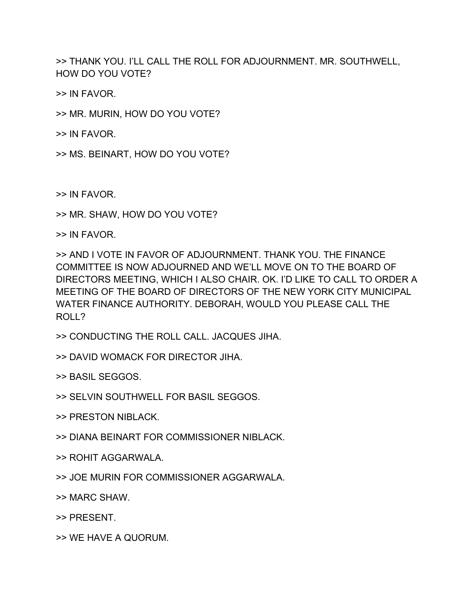>> THANK YOU. I'LL CALL THE ROLL FOR ADJOURNMENT. MR. SOUTHWELL, HOW DO YOU VOTE?

>> IN FAVOR.

>> MR. MURIN, HOW DO YOU VOTE?

>> IN FAVOR.

>> MS. BEINART, HOW DO YOU VOTE?

>> IN FAVOR.

>> MR. SHAW, HOW DO YOU VOTE?

>> IN FAVOR.

>> AND I VOTE IN FAVOR OF ADJOURNMENT. THANK YOU. THE FINANCE COMMITTEE IS NOW ADJOURNED AND WE'LL MOVE ON TO THE BOARD OF DIRECTORS MEETING, WHICH I ALSO CHAIR. OK. I'D LIKE TO CALL TO ORDER A MEETING OF THE BOARD OF DIRECTORS OF THE NEW YORK CITY MUNICIPAL WATER FINANCE AUTHORITY. DEBORAH, WOULD YOU PLEASE CALL THE ROLL?

- >> CONDUCTING THE ROLL CALL. JACQUES JIHA.
- >> DAVID WOMACK FOR DIRECTOR JIHA.
- >> BASIL SEGGOS.
- >> SELVIN SOUTHWELL FOR BASIL SEGGOS.
- >> PRESTON NIBLACK.
- >> DIANA BEINART FOR COMMISSIONER NIBLACK.
- >> ROHIT AGGARWALA.
- >> JOE MURIN FOR COMMISSIONER AGGARWALA.
- >> MARC SHAW.
- >> PRESENT.
- >> WE HAVE A QUORUM.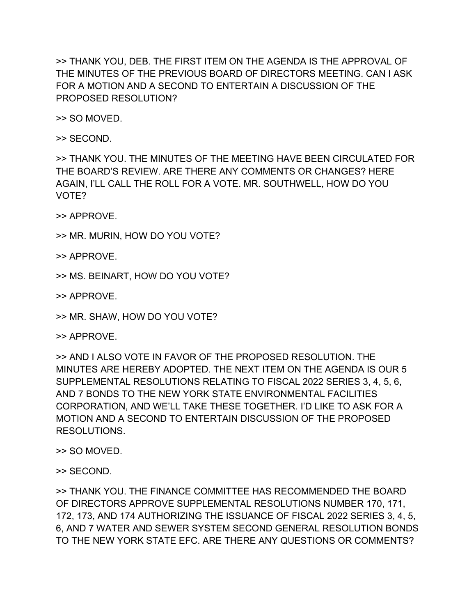>> THANK YOU, DEB. THE FIRST ITEM ON THE AGENDA IS THE APPROVAL OF THE MINUTES OF THE PREVIOUS BOARD OF DIRECTORS MEETING. CAN I ASK FOR A MOTION AND A SECOND TO ENTERTAIN A DISCUSSION OF THE PROPOSED RESOLUTION?

>> SO MOVED.

>> SECOND.

>> THANK YOU. THE MINUTES OF THE MEETING HAVE BEEN CIRCULATED FOR THE BOARD'S REVIEW. ARE THERE ANY COMMENTS OR CHANGES? HERE AGAIN, I'LL CALL THE ROLL FOR A VOTE. MR. SOUTHWELL, HOW DO YOU VOTE?

>> APPROVE.

>> MR. MURIN, HOW DO YOU VOTE?

>> APPROVE.

>> MS. BEINART, HOW DO YOU VOTE?

>> APPROVE.

>> MR. SHAW, HOW DO YOU VOTE?

>> APPROVE.

>> AND I ALSO VOTE IN FAVOR OF THE PROPOSED RESOLUTION. THE MINUTES ARE HEREBY ADOPTED. THE NEXT ITEM ON THE AGENDA IS OUR 5 SUPPLEMENTAL RESOLUTIONS RELATING TO FISCAL 2022 SERIES 3, 4, 5, 6, AND 7 BONDS TO THE NEW YORK STATE ENVIRONMENTAL FACILITIES CORPORATION, AND WE'LL TAKE THESE TOGETHER. I'D LIKE TO ASK FOR A MOTION AND A SECOND TO ENTERTAIN DISCUSSION OF THE PROPOSED RESOLUTIONS.

>> SO MOVED.

>> SECOND.

>> THANK YOU. THE FINANCE COMMITTEE HAS RECOMMENDED THE BOARD OF DIRECTORS APPROVE SUPPLEMENTAL RESOLUTIONS NUMBER 170, 171, 172, 173, AND 174 AUTHORIZING THE ISSUANCE OF FISCAL 2022 SERIES 3, 4, 5, 6, AND 7 WATER AND SEWER SYSTEM SECOND GENERAL RESOLUTION BONDS TO THE NEW YORK STATE EFC. ARE THERE ANY QUESTIONS OR COMMENTS?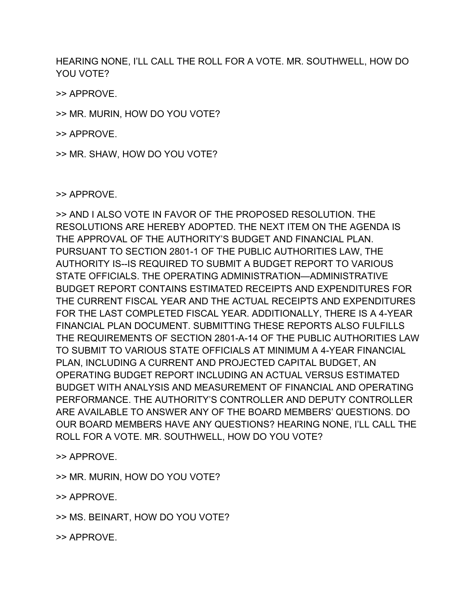HEARING NONE, I'LL CALL THE ROLL FOR A VOTE. MR. SOUTHWELL, HOW DO YOU VOTE?

>> APPROVE.

>> MR. MURIN, HOW DO YOU VOTE?

>> APPROVE.

>> MR. SHAW, HOW DO YOU VOTE?

>> APPROVE.

>> AND I ALSO VOTE IN FAVOR OF THE PROPOSED RESOLUTION. THE RESOLUTIONS ARE HEREBY ADOPTED. THE NEXT ITEM ON THE AGENDA IS THE APPROVAL OF THE AUTHORITY'S BUDGET AND FINANCIAL PLAN. PURSUANT TO SECTION 2801-1 OF THE PUBLIC AUTHORITIES LAW, THE AUTHORITY IS--IS REQUIRED TO SUBMIT A BUDGET REPORT TO VARIOUS STATE OFFICIALS. THE OPERATING ADMINISTRATION—ADMINISTRATIVE BUDGET REPORT CONTAINS ESTIMATED RECEIPTS AND EXPENDITURES FOR THE CURRENT FISCAL YEAR AND THE ACTUAL RECEIPTS AND EXPENDITURES FOR THE LAST COMPLETED FISCAL YEAR. ADDITIONALLY, THERE IS A 4-YEAR FINANCIAL PLAN DOCUMENT. SUBMITTING THESE REPORTS ALSO FULFILLS THE REQUIREMENTS OF SECTION 2801-A-14 OF THE PUBLIC AUTHORITIES LAW TO SUBMIT TO VARIOUS STATE OFFICIALS AT MINIMUM A 4-YEAR FINANCIAL PLAN, INCLUDING A CURRENT AND PROJECTED CAPITAL BUDGET, AN OPERATING BUDGET REPORT INCLUDING AN ACTUAL VERSUS ESTIMATED BUDGET WITH ANALYSIS AND MEASUREMENT OF FINANCIAL AND OPERATING PERFORMANCE. THE AUTHORITY'S CONTROLLER AND DEPUTY CONTROLLER ARE AVAILABLE TO ANSWER ANY OF THE BOARD MEMBERS' QUESTIONS. DO OUR BOARD MEMBERS HAVE ANY QUESTIONS? HEARING NONE, I'LL CALL THE ROLL FOR A VOTE. MR. SOUTHWELL, HOW DO YOU VOTE?

>> APPROVE.

>> MR. MURIN, HOW DO YOU VOTE?

>> APPROVE.

>> MS. BEINART, HOW DO YOU VOTE?

>> APPROVE.